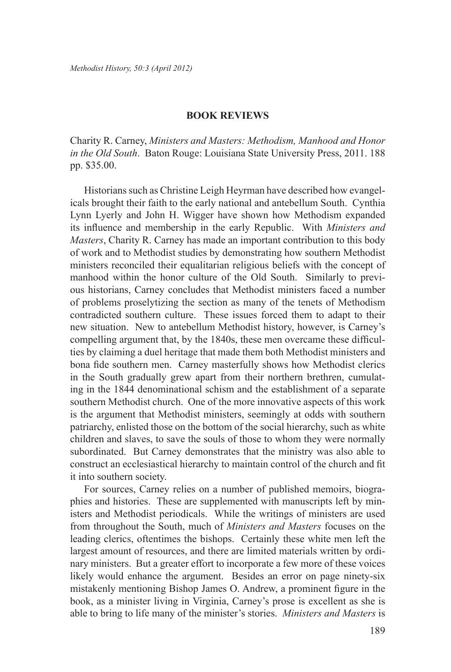## **Book Reviews**

Charity R. Carney, *Ministers and Masters: Methodism, Manhood and Honor in the Old South*. Baton Rouge: Louisiana State University Press, 2011. 188 pp. \$35.00.

Historians such as Christine Leigh Heyrman have described how evangelicals brought their faith to the early national and antebellum South. Cynthia Lynn Lyerly and John H. Wigger have shown how Methodism expanded its influence and membership in the early Republic. With *Ministers and Masters*, Charity R. Carney has made an important contribution to this body of work and to Methodist studies by demonstrating how southern Methodist ministers reconciled their equalitarian religious beliefs with the concept of manhood within the honor culture of the Old South. Similarly to previous historians, Carney concludes that Methodist ministers faced a number of problems proselytizing the section as many of the tenets of Methodism contradicted southern culture. These issues forced them to adapt to their new situation. New to antebellum Methodist history, however, is Carney's compelling argument that, by the 1840s, these men overcame these difficulties by claiming a duel heritage that made them both Methodist ministers and bona fide southern men. Carney masterfully shows how Methodist clerics in the South gradually grew apart from their northern brethren, cumulating in the 1844 denominational schism and the establishment of a separate southern Methodist church. One of the more innovative aspects of this work is the argument that Methodist ministers, seemingly at odds with southern patriarchy, enlisted those on the bottom of the social hierarchy, such as white children and slaves, to save the souls of those to whom they were normally subordinated. But Carney demonstrates that the ministry was also able to construct an ecclesiastical hierarchy to maintain control of the church and fit it into southern society.

For sources, Carney relies on a number of published memoirs, biographies and histories. These are supplemented with manuscripts left by ministers and Methodist periodicals. While the writings of ministers are used from throughout the South, much of *Ministers and Masters* focuses on the leading clerics, oftentimes the bishops. Certainly these white men left the largest amount of resources, and there are limited materials written by ordinary ministers. But a greater effort to incorporate a few more of these voices likely would enhance the argument. Besides an error on page ninety-six mistakenly mentioning Bishop James O. Andrew, a prominent figure in the book, as a minister living in Virginia, Carney's prose is excellent as she is able to bring to life many of the minister's stories. *Ministers and Masters* is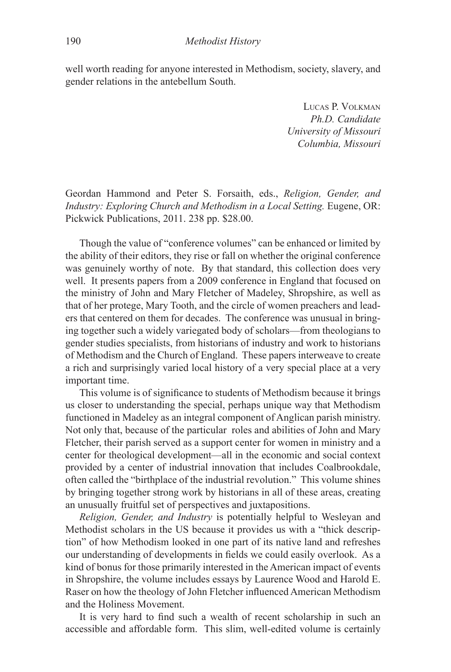well worth reading for anyone interested in Methodism, society, slavery, and gender relations in the antebellum South.

> Lucas P. Volkman *Ph.D. Candidate University of Missouri Columbia, Missouri*

Geordan Hammond and Peter S. Forsaith, eds., *Religion, Gender, and Industry: Exploring Church and Methodism in a Local Setting. Eugene, OR:* Pickwick Publications, 2011. 238 pp. \$28.00.

Though the value of "conference volumes" can be enhanced or limited by the ability of their editors, they rise or fall on whether the original conference was genuinely worthy of note. By that standard, this collection does very well. It presents papers from a 2009 conference in England that focused on the ministry of John and Mary Fletcher of Madeley, Shropshire, as well as that of her protege, Mary Tooth, and the circle of women preachers and leaders that centered on them for decades. The conference was unusual in bringing together such a widely variegated body of scholars—from theologians to gender studies specialists, from historians of industry and work to historians of Methodism and the Church of England. These papers interweave to create a rich and surprisingly varied local history of a very special place at a very important time.

This volume is of significance to students of Methodism because it brings us closer to understanding the special, perhaps unique way that Methodism functioned in Madeley as an integral component of Anglican parish ministry. Not only that, because of the particular roles and abilities of John and Mary Fletcher, their parish served as a support center for women in ministry and a center for theological development—all in the economic and social context provided by a center of industrial innovation that includes Coalbrookdale, often called the "birthplace of the industrial revolution." This volume shines by bringing together strong work by historians in all of these areas, creating an unusually fruitful set of perspectives and juxtapositions.

*Religion, Gender, and Industry* is potentially helpful to Wesleyan and Methodist scholars in the US because it provides us with a "thick description" of how Methodism looked in one part of its native land and refreshes our understanding of developments in fields we could easily overlook. As a kind of bonus for those primarily interested in the American impact of events in Shropshire, the volume includes essays by Laurence Wood and Harold E. Raser on how the theology of John Fletcher influenced American Methodism and the Holiness Movement.

It is very hard to find such a wealth of recent scholarship in such an accessible and affordable form. This slim, well-edited volume is certainly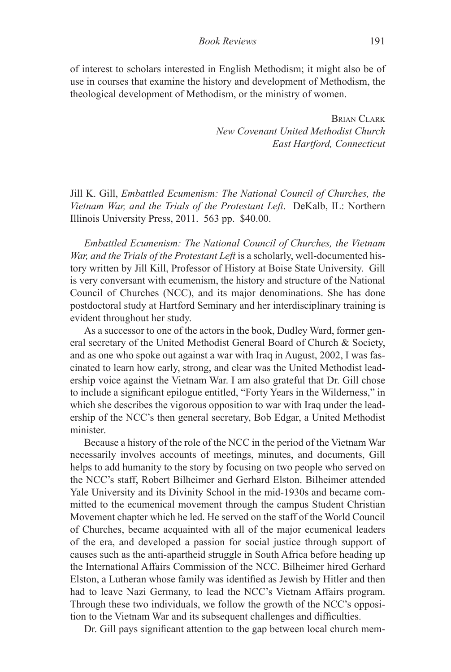of interest to scholars interested in English Methodism; it might also be of use in courses that examine the history and development of Methodism, the theological development of Methodism, or the ministry of women.

> BRIAN CLARK *New Covenant United Methodist Church East Hartford, Connecticut*

Jill K. Gill, *Embattled Ecumenism: The National Council of Churches, the Vietnam War, and the Trials of the Protestant Left*. DeKalb, IL: Northern Illinois University Press, 2011. 563 pp. \$40.00.

*Embattled Ecumenism: The National Council of Churches, the Vietnam War, and the Trials of the Protestant Left* is a scholarly, well-documented history written by Jill Kill, Professor of History at Boise State University. Gill is very conversant with ecumenism, the history and structure of the National Council of Churches (NCC), and its major denominations. She has done postdoctoral study at Hartford Seminary and her interdisciplinary training is evident throughout her study.

As a successor to one of the actors in the book, Dudley Ward, former general secretary of the United Methodist General Board of Church & Society, and as one who spoke out against a war with Iraq in August, 2002, I was fascinated to learn how early, strong, and clear was the United Methodist leadership voice against the Vietnam War. I am also grateful that Dr. Gill chose to include a significant epilogue entitled, "Forty Years in the Wilderness," in which she describes the vigorous opposition to war with Iraq under the leadership of the NCC's then general secretary, Bob Edgar, a United Methodist minister.

Because a history of the role of the NCC in the period of the Vietnam War necessarily involves accounts of meetings, minutes, and documents, Gill helps to add humanity to the story by focusing on two people who served on the NCC's staff, Robert Bilheimer and Gerhard Elston. Bilheimer attended Yale University and its Divinity School in the mid-1930s and became committed to the ecumenical movement through the campus Student Christian Movement chapter which he led. He served on the staff of the World Council of Churches, became acquainted with all of the major ecumenical leaders of the era, and developed a passion for social justice through support of causes such as the anti-apartheid struggle in South Africa before heading up the International Affairs Commission of the NCC. Bilheimer hired Gerhard Elston, a Lutheran whose family was identified as Jewish by Hitler and then had to leave Nazi Germany, to lead the NCC's Vietnam Affairs program. Through these two individuals, we follow the growth of the NCC's opposition to the Vietnam War and its subsequent challenges and difficulties.

Dr. Gill pays significant attention to the gap between local church mem-